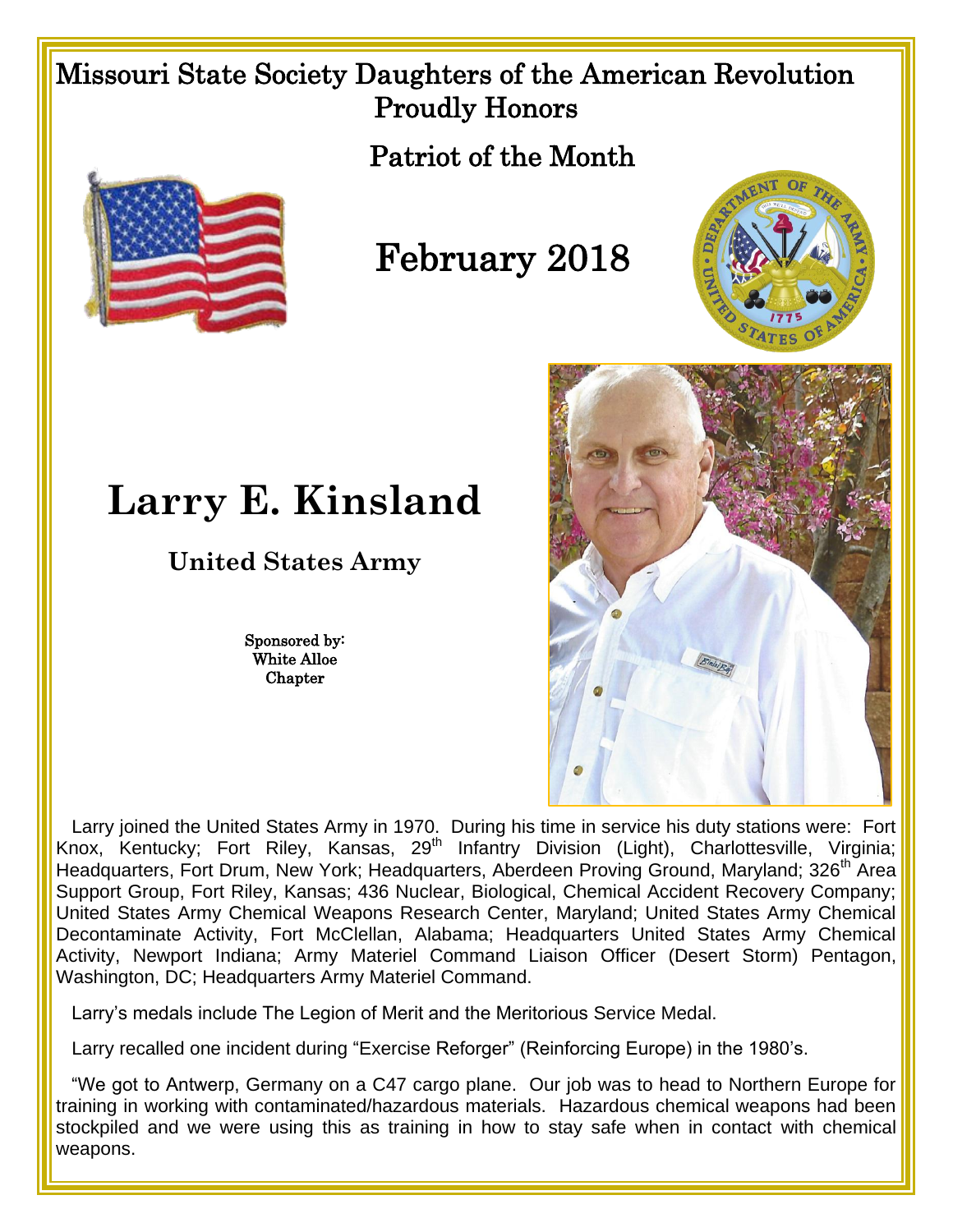## Missouri State Society Daughters of the American Revolution Proudly Honors

Patriot of the Month



## February 2018





## **Larry E. Kinsland**

**United States Army**

Sponsored by: White Alloe **Chapter** 

Larry joined the United States Army in 1970. During his time in service his duty stations were: Fort Knox, Kentucky; Fort Riley, Kansas, 29th Infantry Division (Light), Charlottesville, Virginia; Headquarters, Fort Drum, New York; Headquarters, Aberdeen Proving Ground, Maryland; 326<sup>th</sup> Area Support Group, Fort Riley, Kansas; 436 Nuclear, Biological, Chemical Accident Recovery Company; United States Army Chemical Weapons Research Center, Maryland; United States Army Chemical Decontaminate Activity, Fort McClellan, Alabama; Headquarters United States Army Chemical Activity, Newport Indiana; Army Materiel Command Liaison Officer (Desert Storm) Pentagon, Washington, DC; Headquarters Army Materiel Command.

Larry's medals include The Legion of Merit and the Meritorious Service Medal.

Larry recalled one incident during "Exercise Reforger" (Reinforcing Europe) in the 1980's.

 "We got to Antwerp, Germany on a C47 cargo plane. Our job was to head to Northern Europe for training in working with contaminated/hazardous materials. Hazardous chemical weapons had been stockpiled and we were using this as training in how to stay safe when in contact with chemical weapons.